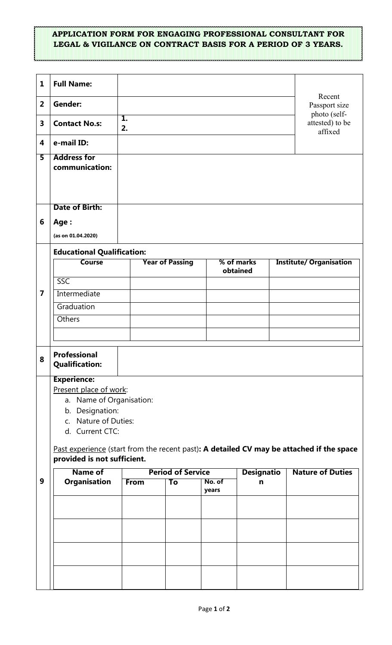## **APPLICATION FORM FOR ENGAGING PROFESSIONAL CONSULTANT FOR LEGAL & VIGILANCE ON CONTRACT BASIS FOR A PERIOD OF 3 YEARS.**

| $\mathbf{1}$            | <b>Full Name:</b>                                                                          |             |                          |                 |                   |                         |                                         |  |
|-------------------------|--------------------------------------------------------------------------------------------|-------------|--------------------------|-----------------|-------------------|-------------------------|-----------------------------------------|--|
| $\overline{2}$          | <b>Gender:</b>                                                                             |             |                          |                 |                   |                         | Recent<br>Passport size<br>photo (self- |  |
| $\overline{\mathbf{3}}$ | <b>Contact No.s:</b>                                                                       | 1.<br>2.    |                          |                 |                   |                         | attested) to be<br>affixed              |  |
| 4                       | e-mail ID:                                                                                 |             |                          |                 |                   |                         |                                         |  |
| 5                       | <b>Address for</b>                                                                         |             |                          |                 |                   |                         |                                         |  |
|                         | communication:                                                                             |             |                          |                 |                   |                         |                                         |  |
|                         |                                                                                            |             |                          |                 |                   |                         |                                         |  |
|                         | <b>Date of Birth:</b>                                                                      |             |                          |                 |                   |                         |                                         |  |
|                         |                                                                                            |             |                          |                 |                   |                         |                                         |  |
| 6                       | Age:                                                                                       |             |                          |                 |                   |                         |                                         |  |
|                         | (as on 01.04.2020)                                                                         |             |                          |                 |                   |                         |                                         |  |
| $\overline{7}$          | <b>Educational Qualification:</b><br>% of marks<br><b>Course</b><br><b>Year of Passing</b> |             |                          |                 |                   |                         | <b>Institute/ Organisation</b>          |  |
|                         |                                                                                            |             |                          |                 | obtained          |                         |                                         |  |
|                         | SSC                                                                                        |             |                          |                 |                   |                         |                                         |  |
|                         | Intermediate                                                                               |             |                          |                 |                   |                         |                                         |  |
|                         | Graduation                                                                                 |             |                          |                 |                   |                         |                                         |  |
|                         | Others                                                                                     |             |                          |                 |                   |                         |                                         |  |
|                         |                                                                                            |             |                          |                 |                   |                         |                                         |  |
| 8                       | Professional<br><b>Qualification:</b>                                                      |             |                          |                 |                   |                         |                                         |  |
|                         | <b>Experience:</b>                                                                         |             |                          |                 |                   |                         |                                         |  |
|                         | Present place of work:                                                                     |             |                          |                 |                   |                         |                                         |  |
|                         | a. Name of Organisation:                                                                   |             |                          |                 |                   |                         |                                         |  |
|                         | b. Designation:<br>c. Nature of Duties:                                                    |             |                          |                 |                   |                         |                                         |  |
|                         | d. Current CTC:                                                                            |             |                          |                 |                   |                         |                                         |  |
|                         | Past experience (start from the recent past): A detailed CV may be attached if the space   |             |                          |                 |                   |                         |                                         |  |
|                         | provided is not sufficient.                                                                |             |                          |                 |                   |                         |                                         |  |
| 9                       | <b>Name of</b>                                                                             |             | <b>Period of Service</b> |                 | <b>Designatio</b> | <b>Nature of Duties</b> |                                         |  |
|                         | <b>Organisation</b>                                                                        | <b>From</b> | To                       | No. of<br>years | $\mathbf n$       |                         |                                         |  |
|                         |                                                                                            |             |                          |                 |                   |                         |                                         |  |
|                         |                                                                                            |             |                          |                 |                   |                         |                                         |  |
|                         |                                                                                            |             |                          |                 |                   |                         |                                         |  |
|                         |                                                                                            |             |                          |                 |                   |                         |                                         |  |
|                         |                                                                                            |             |                          |                 |                   |                         |                                         |  |
|                         |                                                                                            |             |                          |                 |                   |                         |                                         |  |
|                         |                                                                                            |             |                          |                 |                   |                         |                                         |  |